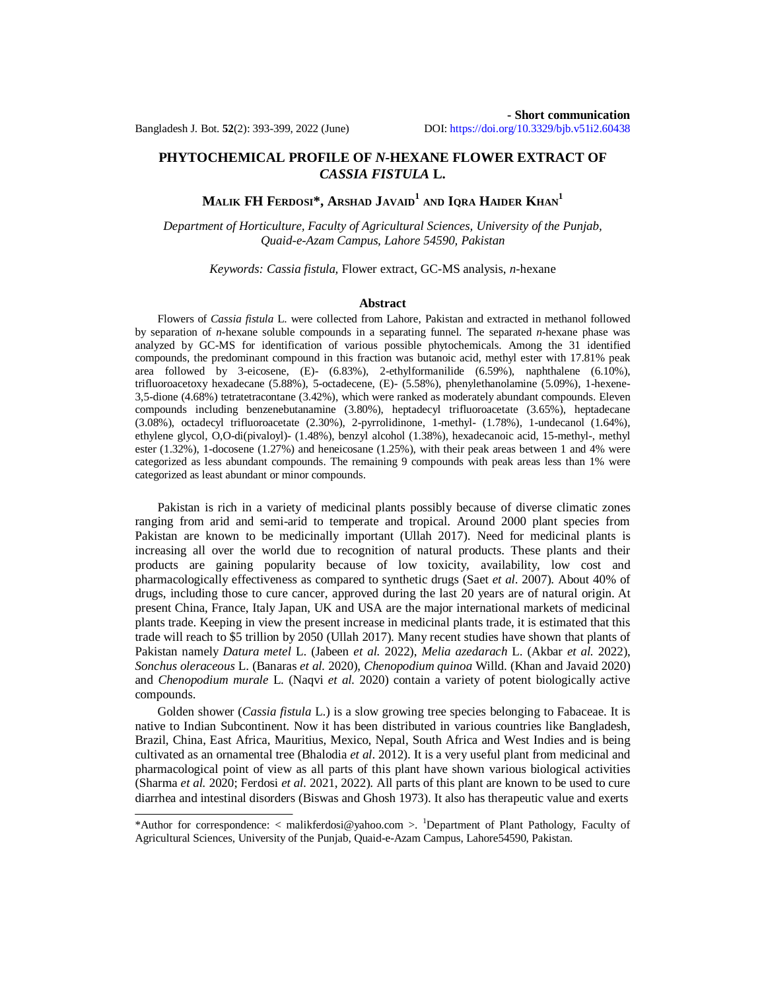## **PHYTOCHEMICAL PROFILE OF** *N-***HEXANE FLOWER EXTRACT OF**  *CASSIA FISTULA* **L.**

# **MALIK FH FERDOSI\*, ARSHAD JAVAID<sup>1</sup> AND IQRA HAIDER KHAN<sup>1</sup>**

*Department of Horticulture, Faculty of Agricultural Sciences, University of the Punjab, Quaid-e-Azam Campus, Lahore 54590, Pakistan*

## *Keywords: Cassia fistula,* Flower extract, GC-MS analysis, *n*-hexane

#### **Abstract**

Flowers of *Cassia fistula* L. were collected from Lahore, Pakistan and extracted in methanol followed by separation of *n-*hexane soluble compounds in a separating funnel. The separated *n-*hexane phase was analyzed by GC-MS for identification of various possible phytochemicals. Among the 31 identified compounds, the predominant compound in this fraction was butanoic acid, methyl ester with 17.81% peak area followed by 3-eicosene, (E)- (6.83%), 2-ethylformanilide (6.59%), naphthalene (6.10%), trifluoroacetoxy hexadecane (5.88%), 5-octadecene, (E)- (5.58%), phenylethanolamine (5.09%), 1-hexene-3,5-dione (4.68%) tetratetracontane (3.42%), which were ranked as moderately abundant compounds. Eleven compounds including benzenebutanamine (3.80%), heptadecyl trifluoroacetate (3.65%), heptadecane (3.08%), octadecyl trifluoroacetate (2.30%), 2-pyrrolidinone, 1-methyl- (1.78%), 1-undecanol (1.64%), ethylene glycol, O,O-di(pivaloyl)- (1.48%), benzyl alcohol (1.38%), hexadecanoic acid, 15-methyl-, methyl ester (1.32%), 1-docosene (1.27%) and heneicosane (1.25%), with their peak areas between 1 and 4% were categorized as less abundant compounds. The remaining 9 compounds with peak areas less than 1% were categorized as least abundant or minor compounds.

Pakistan is rich in a variety of medicinal plants possibly because of diverse climatic zones ranging from arid and semi-arid to temperate and tropical. Around 2000 plant species from Pakistan are known to be medicinally important (Ullah 2017). Need for medicinal plants is increasing all over the world due to recognition of natural products. These plants and their products are gaining popularity because of low toxicity, availability, low cost and pharmacologically effectiveness as compared to synthetic drugs (Saet *et al*. 2007). About 40% of drugs, including those to cure cancer, approved during the last 20 years are of natural origin. At present China, France, Italy Japan, UK and USA are the major international markets of medicinal plants trade. Keeping in view the present increase in medicinal plants trade, it is estimated that this trade will reach to \$5 trillion by 2050 (Ullah 2017). Many recent studies have shown that plants of Pakistan namely *Datura metel* L. (Jabeen *et al.* 2022), *Melia azedarach* L. (Akbar *et al.* 2022), *Sonchus oleraceous* L. (Banaras *et al.* 2020), *Chenopodium quinoa* Willd. (Khan and Javaid 2020) and *Chenopodium murale* L. (Naqvi *et al.* 2020) contain a variety of potent biologically active compounds.

Golden shower (*Cassia fistula* L.) is a slow growing tree species belonging to Fabaceae. It is native to Indian Subcontinent. Now it has been distributed in various countries like Bangladesh, Brazil, China, East Africa, Mauritius, Mexico, Nepal, South Africa and West Indies and is being cultivated as an ornamental tree (Bhalodia *et al*. 2012). It is a very useful plant from medicinal and pharmacological point of view as all parts of this plant have shown various biological activities (Sharma *et al.* 2020; Ferdosi *et al.* 2021, 2022). All parts of this plant are known to be used to cure diarrhea and intestinal disorders (Biswas and Ghosh 1973). It also has therapeutic value and exerts

<sup>\*</sup>Author for correspondence: < malikferdosi*@*yahoo.com >. <sup>1</sup>Department of Plant Pathology, Faculty of Agricultural Sciences, University of the Punjab, Quaid-e-Azam Campus, Lahore54590, Pakistan.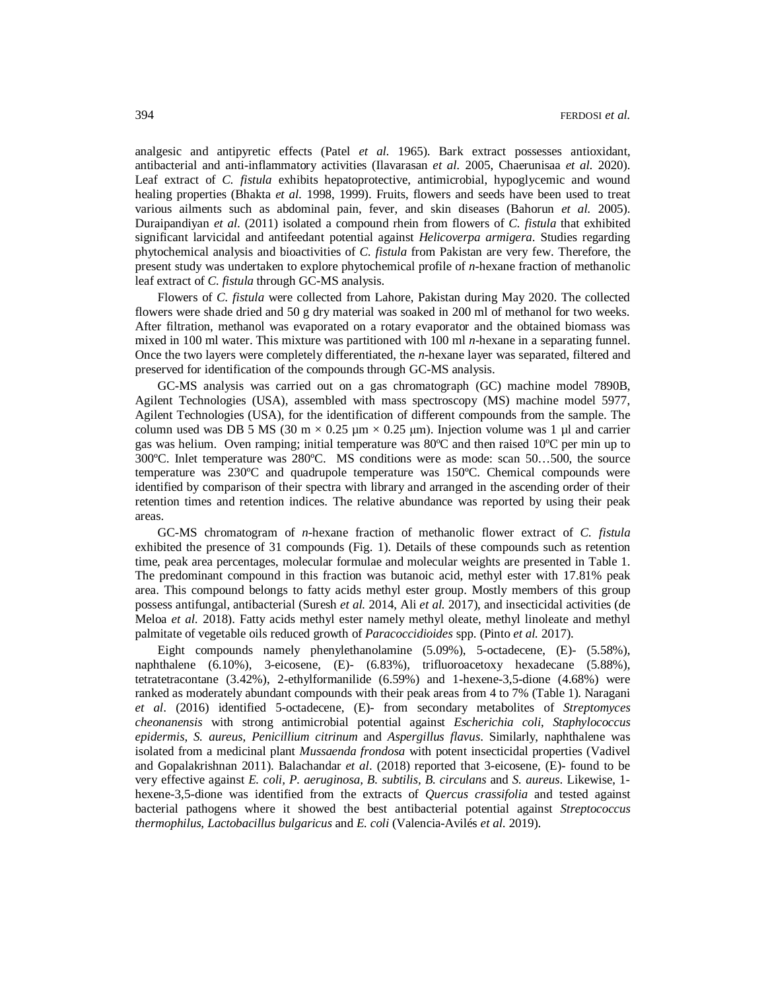analgesic and antipyretic effects (Patel *et al.* 1965). Bark extract possesses antioxidant, antibacterial and anti-inflammatory activities (Ilavarasan *et al.* 2005, Chaerunisaa *et al.* 2020). Leaf extract of *C. fistula* exhibits hepatoprotective, antimicrobial, hypoglycemic and wound healing properties (Bhakta *et al.* 1998, 1999). Fruits, flowers and seeds have been used to treat various ailments such as abdominal pain, fever, and skin diseases (Bahorun *et al.* 2005). Duraipandiyan *et al*. (2011) isolated a compound rhein from flowers of *C. fistula* that exhibited significant larvicidal and antifeedant potential against *Helicoverpa armigera*. Studies regarding phytochemical analysis and bioactivities of *C. fistula* from Pakistan are very few. Therefore, the present study was undertaken to explore phytochemical profile of *n-*hexane fraction of methanolic leaf extract of *C. fistula* through GC-MS analysis.

Flowers of *C. fistula* were collected from Lahore, Pakistan during May 2020. The collected flowers were shade dried and 50 g dry material was soaked in 200 ml of methanol for two weeks. After filtration, methanol was evaporated on a rotary evaporator and the obtained biomass was mixed in 100 ml water. This mixture was partitioned with 100 ml *n-*hexane in a separating funnel. Once the two layers were completely differentiated, the *n-*hexane layer was separated, filtered and preserved for identification of the compounds through GC-MS analysis.

GC-MS analysis was carried out on a gas chromatograph (GC) machine model 7890B, Agilent Technologies (USA), assembled with mass spectroscopy (MS) machine model 5977, Agilent Technologies (USA), for the identification of different compounds from the sample. The column used was DB 5 MS (30 m  $\times$  0.25 µm  $\times$  0.25 µm). Injection volume was 1 µl and carrier gas was helium. Oven ramping; initial temperature was 80ºC and then raised 10ºC per min up to 300ºC. Inlet temperature was 280ºC. MS conditions were as mode: scan 50…500, the source temperature was 230ºC and quadrupole temperature was 150ºC. Chemical compounds were identified by comparison of their spectra with library and arranged in the ascending order of their retention times and retention indices. The relative abundance was reported by using their peak areas.

GC-MS chromatogram of *n-*hexane fraction of methanolic flower extract of *C. fistula*  exhibited the presence of 31 compounds (Fig. 1). Details of these compounds such as retention time, peak area percentages, molecular formulae and molecular weights are presented in Table 1. The predominant compound in this fraction was butanoic acid, methyl ester with 17.81% peak area. This compound belongs to fatty acids methyl ester group. Mostly members of this group possess antifungal, antibacterial (Suresh *et al.* 2014, Ali *et al.* 2017), and insecticidal activities (de Meloa *et al.* 2018). Fatty acids methyl ester namely methyl oleate, methyl linoleate and methyl palmitate of vegetable oils reduced growth of *Paracoccidioides* spp. (Pinto *et al.* 2017).

Eight compounds namely phenylethanolamine (5.09%), 5-octadecene, (E)- (5.58%), naphthalene (6.10%), 3-eicosene, (E)- (6.83%), trifluoroacetoxy hexadecane (5.88%), tetratetracontane (3.42%), 2-ethylformanilide (6.59%) and 1-hexene-3,5-dione (4.68%) were ranked as moderately abundant compounds with their peak areas from 4 to 7% (Table 1). Naragani *et al*. (2016) identified 5-octadecene, (E)- from secondary metabolites of *Streptomyces cheonanensis* with strong antimicrobial potential against *Escherichia coli*, *Staphylococcus epidermis*, *S. aureus*, *Penicillium citrinum* and *Aspergillus flavus*. Similarly, naphthalene was isolated from a medicinal plant *Mussaenda frondosa* with potent insecticidal properties (Vadivel and Gopalakrishnan 2011). Balachandar *et al*. (2018) reported that 3-eicosene, (E)- found to be very effective against *E. coli, P. aeruginosa, B. subtilis, B. circulans* and *S. aureus*. Likewise, 1 hexene-3,5-dione was identified from the extracts of *Quercus crassifolia* and tested against bacterial pathogens where it showed the best antibacterial potential against *Streptococcus thermophilus, Lactobacillus bulgaricus* and *E. coli* (Valencia-Avilés *et al*. 2019).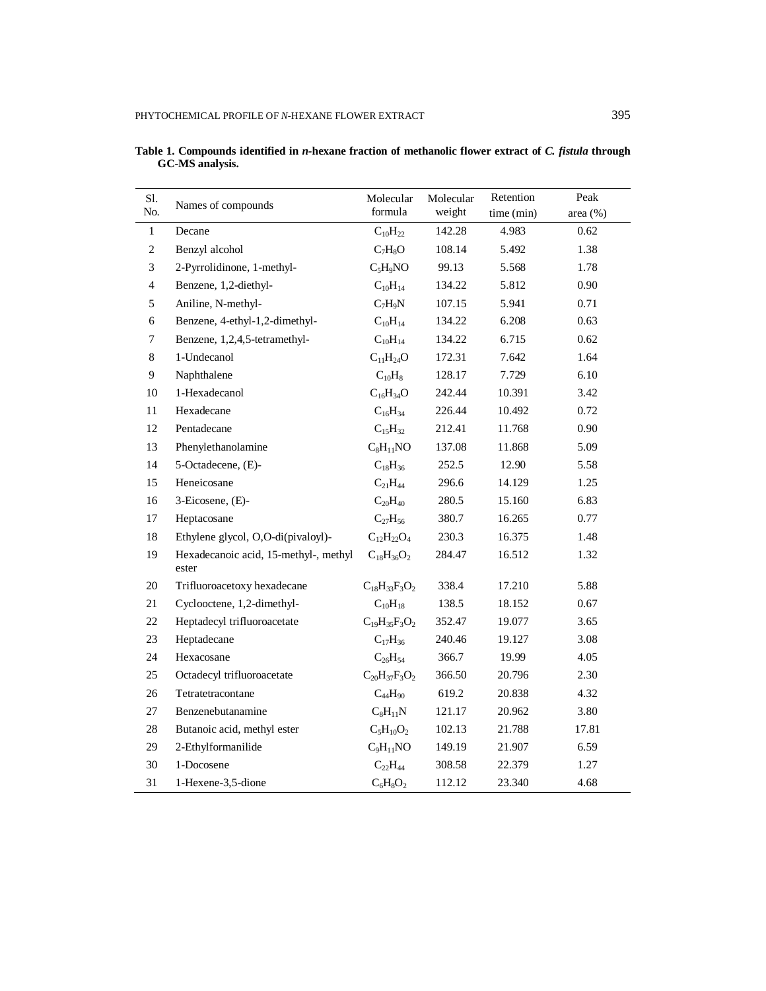| Sl.<br>No.     | Names of compounds                             | Molecular<br>formula                         | Molecular<br>weight | Retention<br>time (min) | Peak<br>area (%) |
|----------------|------------------------------------------------|----------------------------------------------|---------------------|-------------------------|------------------|
| $\mathbf{1}$   | Decane                                         | $C_{10}H_{22}$                               | 142.28              | 4.983                   | 0.62             |
| $\mathbf{2}$   | Benzyl alcohol                                 | $C_7H_8O$                                    | 108.14              | 5.492                   | 1.38             |
| $\mathfrak{Z}$ | 2-Pyrrolidinone, 1-methyl-                     | $C_5H_9NO$                                   | 99.13               | 5.568                   | 1.78             |
| $\overline{4}$ | Benzene, 1,2-diethyl-                          | $C_{10}H_{14}$                               | 134.22              | 5.812                   | 0.90             |
| 5              | Aniline, N-methyl-                             | $C_7H_9N$                                    | 107.15              | 5.941                   | 0.71             |
| 6              | Benzene, 4-ethyl-1,2-dimethyl-                 | $C_{10}H_{14}$                               | 134.22              | 6.208                   | 0.63             |
| 7              | Benzene, 1,2,4,5-tetramethyl-                  | $C_{10}H_{14}$                               | 134.22              | 6.715                   | 0.62             |
| 8              | 1-Undecanol                                    | $C_{11}H_{24}O$                              | 172.31              | 7.642                   | 1.64             |
| 9              | Naphthalene                                    | $C_{10}H_8$                                  | 128.17              | 7.729                   | 6.10             |
| 10             | 1-Hexadecanol                                  | $C_{16}H_{34}O$                              | 242.44              | 10.391                  | 3.42             |
| 11             | Hexadecane                                     | $C_{16}H_{34}$                               | 226.44              | 10.492                  | 0.72             |
| 12             | Pentadecane                                    | $C_{15}H_{32}$                               | 212.41              | 11.768                  | 0.90             |
| 13             | Phenylethanolamine                             | $C_8H_{11}NO$                                | 137.08              | 11.868                  | 5.09             |
| 14             | 5-Octadecene, (E)-                             | $C_{18}H_{36}$                               | 252.5               | 12.90                   | 5.58             |
| 15             | Heneicosane                                    | $C_{21}H_{44}$                               | 296.6               | 14.129                  | 1.25             |
| 16             | 3-Eicosene, (E)-                               | $C_{20}H_{40}$                               | 280.5               | 15.160                  | 6.83             |
| 17             | Heptacosane                                    | $C_{27}H_{56}$                               | 380.7               | 16.265                  | 0.77             |
| 18             | Ethylene glycol, O,O-di(pivaloyl)-             | $C_{12}H_{22}O_4$                            | 230.3               | 16.375                  | 1.48             |
| 19             | Hexadecanoic acid, 15-methyl-, methyl<br>ester | $C_{18}H_{36}O_2$                            | 284.47              | 16.512                  | 1.32             |
| 20             | Trifluoroacetoxy hexadecane                    | $C_{18}H_{33}F_{3}O_{2}$                     | 338.4               | 17.210                  | 5.88             |
| 21             | Cyclooctene, 1,2-dimethyl-                     | $C_{10}H_{18}$                               | 138.5               | 18.152                  | 0.67             |
| 22             | Heptadecyl trifluoroacetate                    | $C_{19}H_{35}F_{3}O_{2}$                     | 352.47              | 19.077                  | 3.65             |
| 23             | Heptadecane                                    | $C_{17}H_{36}$                               | 240.46              | 19.127                  | 3.08             |
| 24             | Hexacosane                                     | $C_{26}H_{54}$                               | 366.7               | 19.99                   | 4.05             |
| 25             | Octadecyl trifluoroacetate                     | $\rm{C}_{20}\rm{H}_{37}\rm{F}_{3}\rm{O}_{2}$ | 366.50              | 20.796                  | 2.30             |
| 26             | Tetratetracontane                              | $C_{44}H_{90}$                               | 619.2               | 20.838                  | 4.32             |
| 27             | Benzenebutanamine                              | $C_8H_{11}N$                                 | 121.17              | 20.962                  | 3.80             |
| $28\,$         | Butanoic acid, methyl ester                    | $C_5H_{10}O_2$                               | 102.13              | 21.788                  | 17.81            |
| 29             | 2-Ethylformanilide                             | $C_9H_{11}NO$                                | 149.19              | 21.907                  | 6.59             |
| 30             | 1-Docosene                                     | $C_{22}H_{44}$                               | 308.58              | 22.379                  | 1.27             |
| 31             | 1-Hexene-3,5-dione                             | $C_6H_8O_2$                                  | 112.12              | 23.340                  | 4.68             |

**Table 1. Compounds identified in** *n-***hexane fraction of methanolic flower extract of** *C. fistula* **through GC-MS analysis.**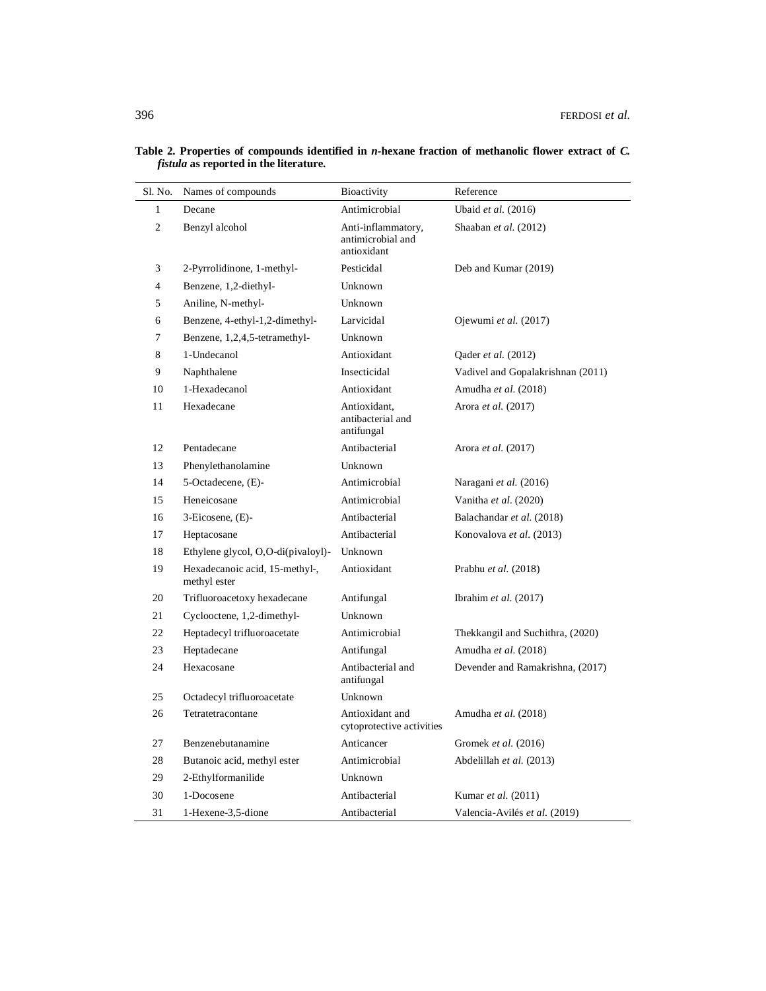| Sl. No.      | Names of compounds                             | Bioactivity                                            | Reference                         |
|--------------|------------------------------------------------|--------------------------------------------------------|-----------------------------------|
| $\mathbf{1}$ | Decane                                         | Antimicrobial                                          | Ubaid et al. (2016)               |
| 2            | Benzyl alcohol                                 | Anti-inflammatory,<br>antimicrobial and<br>antioxidant | Shaaban et al. (2012)             |
| 3            | 2-Pyrrolidinone, 1-methyl-                     | Pesticidal                                             | Deb and Kumar (2019)              |
| 4            | Benzene, 1,2-diethyl-                          | Unknown                                                |                                   |
| 5            | Aniline, N-methyl-                             | Unknown                                                |                                   |
| 6            | Benzene, 4-ethyl-1,2-dimethyl-                 | Larvicidal                                             | Ojewumi et al. (2017)             |
| $\tau$       | Benzene, 1,2,4,5-tetramethyl-                  | Unknown                                                |                                   |
| 8            | 1-Undecanol                                    | Antioxidant                                            | Qader et al. (2012)               |
| 9            | Naphthalene                                    | Insecticidal                                           | Vadivel and Gopalakrishnan (2011) |
| 10           | 1-Hexadecanol                                  | Antioxidant                                            | Amudha et al. (2018)              |
| 11           | Hexadecane                                     | Antioxidant,<br>antibacterial and<br>antifungal        | Arora et al. (2017)               |
| 12           | Pentadecane                                    | Antibacterial                                          | Arora et al. (2017)               |
| 13           | Phenylethanolamine                             | Unknown                                                |                                   |
| 14           | 5-Octadecene, (E)-                             | Antimicrobial                                          | Naragani et al. (2016)            |
| 15           | Heneicosane                                    | Antimicrobial                                          | Vanitha et al. (2020)             |
| 16           | 3-Eicosene, (E)-                               | Antibacterial                                          | Balachandar et al. (2018)         |
| 17           | Heptacosane                                    | Antibacterial                                          | Konovalova et al. (2013)          |
| 18           | Ethylene glycol, O,O-di(pivaloyl)-             | Unknown                                                |                                   |
| 19           | Hexadecanoic acid, 15-methyl-,<br>methyl ester | Antioxidant                                            | Prabhu et al. (2018)              |
| 20           | Trifluoroacetoxy hexadecane                    | Antifungal                                             | Ibrahim et al. (2017)             |
| 21           | Cyclooctene, 1,2-dimethyl-                     | Unknown                                                |                                   |
| 22           | Heptadecyl trifluoroacetate                    | Antimicrobial                                          | Thekkangil and Suchithra, (2020)  |
| 23           | Heptadecane                                    | Antifungal                                             | Amudha et al. (2018)              |
| 24           | Hexacosane                                     | Antibacterial and<br>antifungal                        | Devender and Ramakrishna, (2017)  |
| 25           | Octadecyl trifluoroacetate                     | Unknown                                                |                                   |
| 26           | Tetratetracontane                              | Antioxidant and<br>cytoprotective activities           | Amudha et al. (2018)              |
| 27           | Benzenebutanamine                              | Anticancer                                             | Gromek et al. (2016)              |
| 28           | Butanoic acid, methyl ester                    | Antimicrobial                                          | Abdelillah et al. (2013)          |
| 29           | 2-Ethylformanilide                             | Unknown                                                |                                   |
| 30           | 1-Docosene                                     | Antibacterial                                          | Kumar et al. (2011)               |
| 31           | 1-Hexene-3,5-dione                             | Antibacterial                                          | Valencia-Avilés et al. (2019)     |

**Table 2. Properties of compounds identified in** *n-***hexane fraction of methanolic flower extract of** *C. fistula* **as reported in the literature.**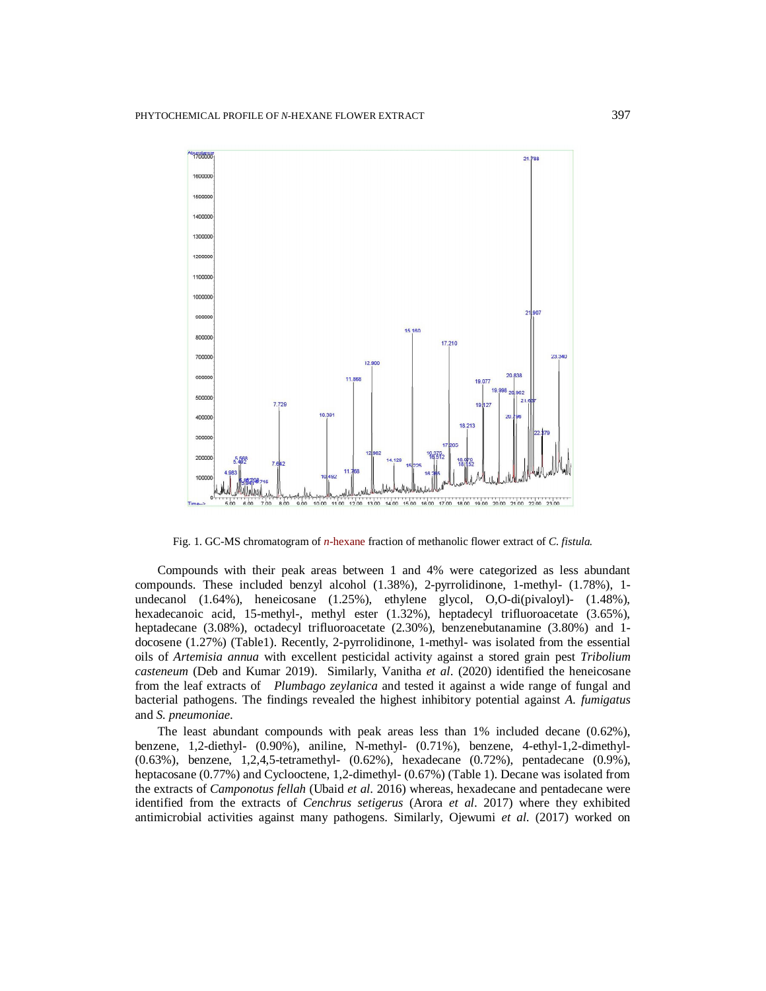

Fig. 1. GC-MS chromatogram of *n*-hexane fraction of methanolic flower extract of *C. fistula.*

Compounds with their peak areas between 1 and 4% were categorized as less abundant compounds. These included benzyl alcohol (1.38%), 2-pyrrolidinone, 1-methyl- (1.78%), 1 undecanol (1.64%), heneicosane (1.25%), ethylene glycol, O,O-di(pivaloyl)- (1.48%), hexadecanoic acid, 15-methyl-, methyl ester (1.32%), heptadecyl trifluoroacetate (3.65%), heptadecane (3.08%), octadecyl trifluoroacetate (2.30%), benzenebutanamine (3.80%) and 1docosene (1.27%) (Table1). Recently, 2-pyrrolidinone, 1-methyl- was isolated from the essential oils of *Artemisia annua* with excellent pesticidal activity against a stored grain pest *Tribolium casteneum* (Deb and Kumar 2019).Similarly, Vanitha *et al*. (2020) identified the heneicosane from the leaf extracts of*Plumbago zeylanica* and tested it against a wide range of fungal and bacterial pathogens. The findings revealed the highest inhibitory potential against *A. fumigatus*  and *S. pneumoniae*.

The least abundant compounds with peak areas less than 1% included decane (0.62%), benzene, 1,2-diethyl- (0.90%), aniline, N-methyl- (0.71%), benzene, 4-ethyl-1,2-dimethyl- (0.63%), benzene, 1,2,4,5-tetramethyl- (0.62%), hexadecane (0.72%), pentadecane (0.9%), heptacosane (0.77%) and Cyclooctene, 1,2-dimethyl- (0.67%) (Table 1). Decane was isolated from the extracts of *Camponotus fellah* (Ubaid *et al*. 2016) whereas, hexadecane and pentadecane were identified from the extracts of *Cenchrus setigerus* (Arora *et al*. 2017) where they exhibited antimicrobial activities against many pathogens. Similarly, Ojewumi *et al*. (2017) worked on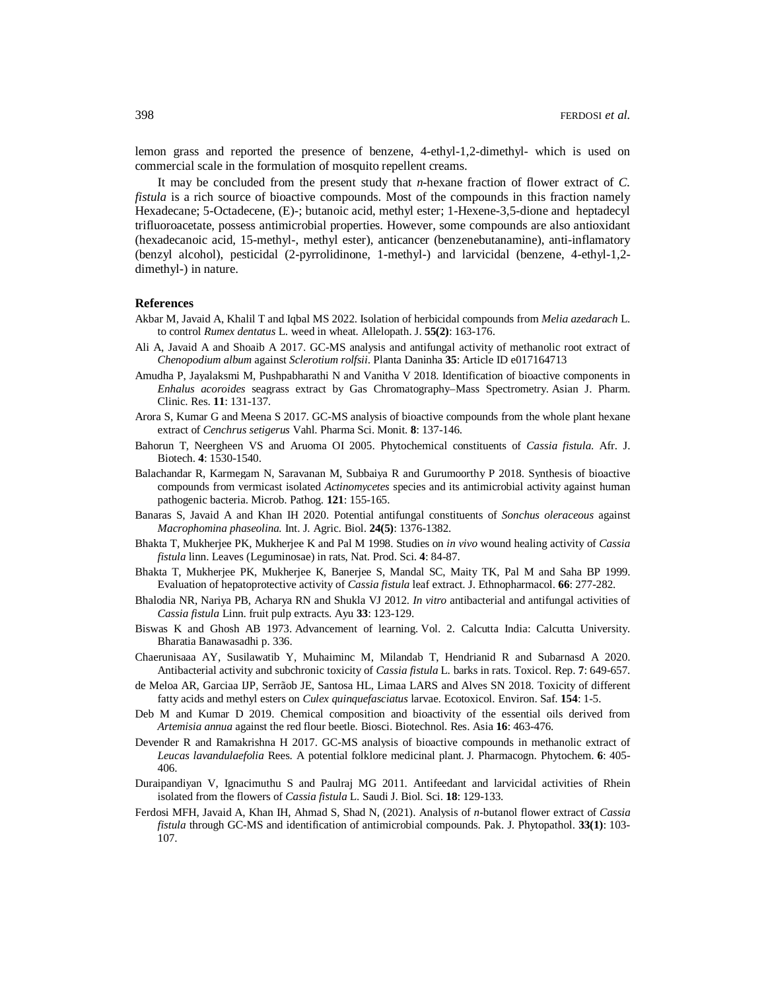lemon grass and reported the presence of benzene, 4-ethyl-1,2-dimethyl- which is used on commercial scale in the formulation of mosquito repellent creams.

It may be concluded from the present study that *n*-hexane fraction of flower extract of *C. fistula* is a rich source of bioactive compounds. Most of the compounds in this fraction namely Hexadecane; 5-Octadecene, (E)-; butanoic acid, methyl ester; 1-Hexene-3,5-dione and heptadecyl trifluoroacetate, possess antimicrobial properties. However, some compounds are also antioxidant (hexadecanoic acid, 15-methyl-, methyl ester), anticancer (benzenebutanamine), anti-inflamatory (benzyl alcohol), pesticidal (2-pyrrolidinone, 1-methyl-) and larvicidal (benzene, 4-ethyl-1,2 dimethyl-) in nature.

### **References**

- Akbar M, Javaid A, Khalil T and Iqbal MS 2022. Isolation of herbicidal compounds from *Melia azedarach* L. to control *Rumex dentatus* L. weed in wheat. Allelopath. J. **55(2)**: 163-176.
- Ali A, Javaid A and Shoaib A 2017. GC-MS analysis and antifungal activity of methanolic root extract of *Chenopodium album* against *Sclerotium rolfsii*. Planta Daninha **35**: Article ID e017164713
- Amudha P, Jayalaksmi M, Pushpabharathi N and Vanitha V 2018. Identification of bioactive components in *Enhalus acoroides* seagrass extract by Gas Chromatography–Mass Spectrometry. Asian J. Pharm. Clinic. Res. **11**: 131-137.
- Arora S, Kumar G and Meena S 2017. GC-MS analysis of bioactive compounds from the whole plant hexane extract of *Cenchrus setigerus* Vahl. Pharma Sci. Monit. **8**: 137-146.
- Bahorun T, Neergheen VS and Aruoma OI 2005. Phytochemical constituents of *Cassia fistula*. Afr. J. Biotech. **4**: 1530-1540.
- Balachandar R, Karmegam N, Saravanan M, Subbaiya R and Gurumoorthy P 2018. Synthesis of bioactive compounds from vermicast isolated *Actinomycetes* species and its antimicrobial activity against human pathogenic bacteria. Microb. Pathog. **121**: 155-165.
- Banaras S, Javaid A and Khan IH 2020. Potential antifungal constituents of *Sonchus oleraceous* against *Macrophomina phaseolina.* Int. J. Agric. Biol. **24(5)**: 1376-1382.
- Bhakta T, Mukherjee PK, Mukherjee K and Pal M 1998. Studies on *in vivo* wound healing activity of *Cassia fistula* linn. Leaves (Leguminosae) in rats, Nat. Prod. Sci. **4**: 84-87.
- Bhakta T, Mukherjee PK, Mukherjee K, Banerjee S, Mandal SC, Maity TK, Pal M and Saha BP 1999. Evaluation of hepatoprotective activity of *Cassia fistula* leaf extract. J. Ethnopharmacol. **66**: 277-282.
- Bhalodia NR, Nariya PB, Acharya RN and Shukla VJ 2012. *In vitro* antibacterial and antifungal activities of *Cassia fistula* Linn. fruit pulp extracts. Ayu **33**: 123-129.
- Biswas K and Ghosh AB 1973. Advancement of learning. Vol. 2. Calcutta India: Calcutta University. Bharatia Banawasadhi p. 336.
- Chaerunisaaa AY, Susilawatib Y, Muhaiminc M, Milandab T, Hendrianid R and Subarnasd A 2020. Antibacterial activity and subchronic toxicity of *Cassia fistula* L. barks in rats. Toxicol. Rep. **7**: 649-657.
- de Meloa AR, Garciaa IJP, Serrãob JE, Santosa HL, Limaa LARS and Alves SN 2018. Toxicity of different fatty acids and methyl esters on *Culex quinquefasciatus* larvae. Ecotoxicol. Environ. Saf. **154**: 1-5.
- Deb M and Kumar D 2019. Chemical composition and bioactivity of the essential oils derived from *Artemisia annua* against the red flour beetle. Biosci. Biotechnol. Res. Asia **16**: 463-476.
- Devender R and Ramakrishna H 2017. GC-MS analysis of bioactive compounds in methanolic extract of *Leucas lavandulaefolia* Rees. A potential folklore medicinal plant. J. Pharmacogn. Phytochem. **6**: 405- 406.
- Duraipandiyan V, Ignacimuthu S and Paulraj MG 2011. Antifeedant and larvicidal activities of Rhein isolated from the flowers of *Cassia fistula* L. Saudi J. Biol. Sci. **18**: 129-133.
- Ferdosi MFH, Javaid A, Khan IH, Ahmad S, Shad N, (2021). Analysis of *n*-butanol flower extract of *Cassia fistula* through GC-MS and identification of antimicrobial compounds. Pak. J. Phytopathol. **33(1)**: 103- 107.